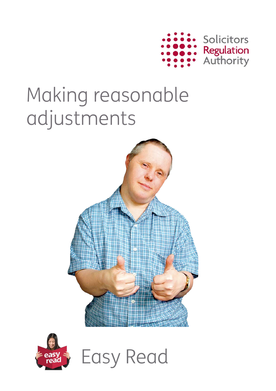

# Making reasonable adjustments





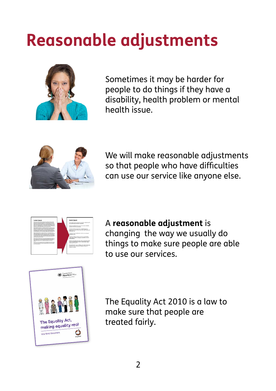# **Reasonable adjustments**



Sometimes it may be harder for people to do things if they have a disability, health problem or mental health issue.



We will make reasonable adjustments so that people who have difficulties can use our service like anyone else.



A **reasonable adjustment** is changing the way we usually do things to make sure people are able to use our services.



The Equality Act 2010 is a law to make sure that people are treated fairly.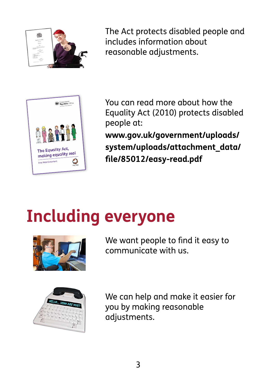

The Act protects disabled people and includes information about reasonable adjustments.



You can read more about how the Equality Act (2010) protects disabled people at:

**[www.gov.uk/government/uploads/](https://www.gov.uk/government/uploads/system/uploads/attachment_data/file/85012/easy-read.pdf) [system/uploads/attachment\\_data/](https://www.gov.uk/government/uploads/system/uploads/attachment_data/file/85012/easy-read.pdf) [file/85012/easy-read.pdf](https://www.gov.uk/government/uploads/system/uploads/attachment_data/file/85012/easy-read.pdf)** 

## **Including everyone**



communicate with us. We want people to find it easy to



We can help and make it easier for you by making reasonable adjustments.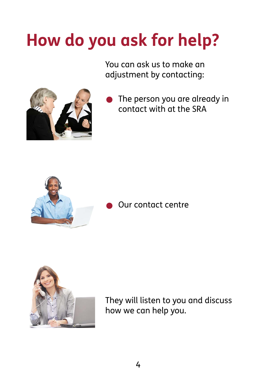# **How do you ask for help?**

You can ask us to make an adjustment by contacting:



contact with at the SRA The person you are already in contact with at the SRA • Our contact centre



#### Our contact centre



They will listen to you and discuss how we can help you.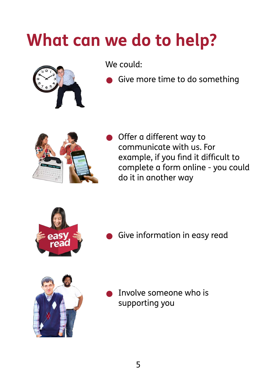## **What can we do to help?**



We could:

Give more time to do something



Offer a different way to communicate with us. For example, if you find it difficult to complete a form online - you could do it in another way



Give information in easy read



• Involve someone who is supporting you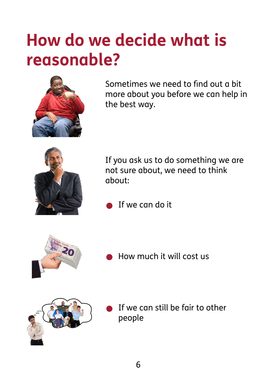### **How do we decide what is reasonable?**



Sometimes we need to find out a bit more about you before we can help in the best way.



If you ask us to do something we are not sure about, we need to think about:

If we can do it



• How much it will cost us



If we can still be fair to other people